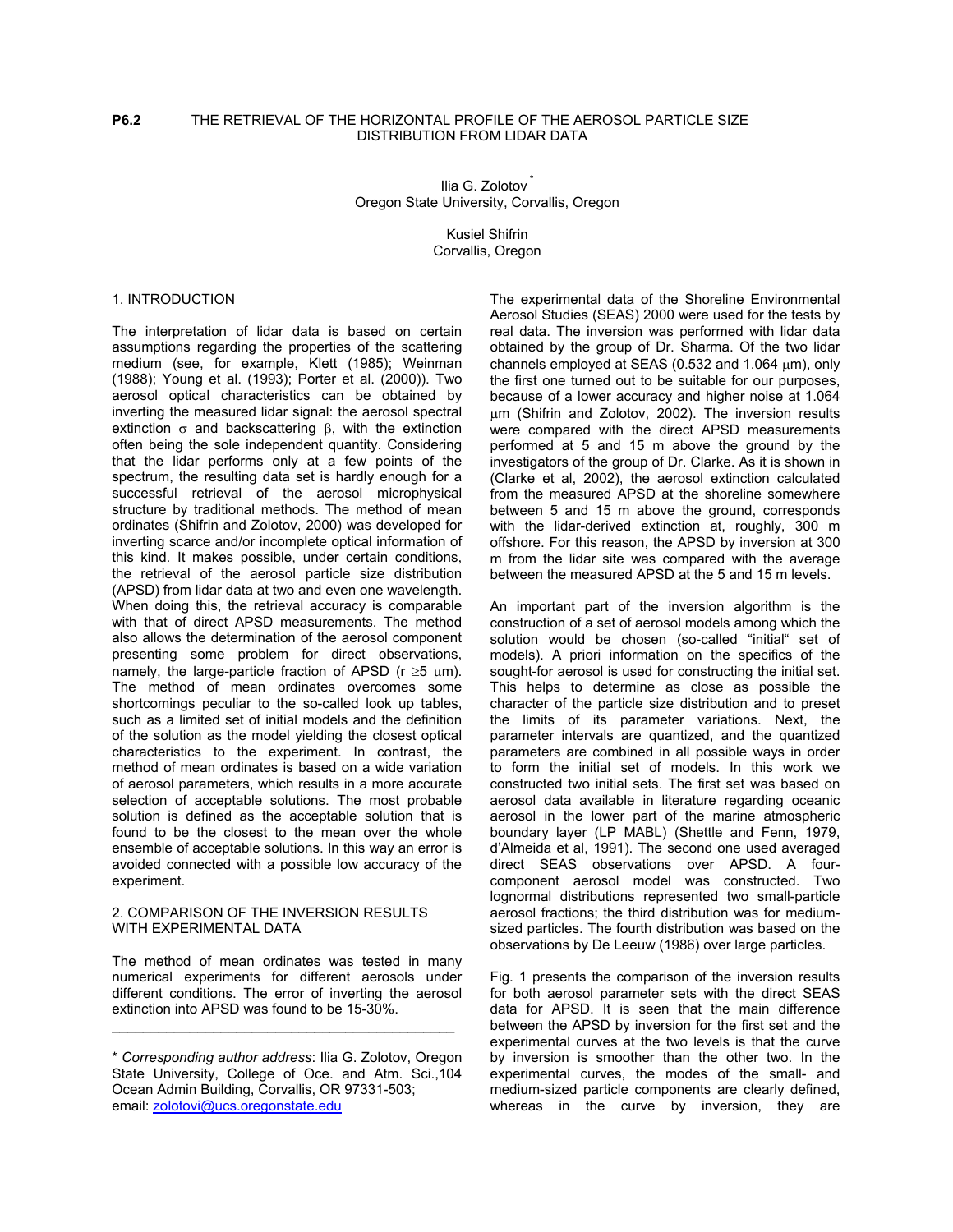# **P6.2** THE RETRIEVAL OF THE HORIZONTAL PROFILE OF THE AEROSOL PARTICLE SIZE DISTRIBUTION FROM LIDAR DATA

Ilia G. Zolotov Oregon State University, Corvallis, Oregon

> Kusiel Shifrin Corvallis, Oregon

# 1. INTRODUCTION

The interpretation of lidar data is based on certain assumptions regarding the properties of the scattering medium (see, for example, Klett (1985); Weinman (1988); Young et al. (1993); Porter et al. (2000)). Two aerosol optical characteristics can be obtained by inverting the measured lidar signal: the aerosol spectral extinction  $σ$  and backscattering  $β$ , with the extinction often being the sole independent quantity. Considering that the lidar performs only at a few points of the spectrum, the resulting data set is hardly enough for a successful retrieval of the aerosol microphysical structure by traditional methods. The method of mean ordinates (Shifrin and Zolotov, 2000) was developed for inverting scarce and/or incomplete optical information of this kind. It makes possible, under certain conditions, the retrieval of the aerosol particle size distribution (APSD) from lidar data at two and even one wavelength. When doing this, the retrieval accuracy is comparable with that of direct APSD measurements. The method also allows the determination of the aerosol component presenting some problem for direct observations, namely, the large-particle fraction of APSD ( $r \ge 5 \mu m$ ). The method of mean ordinates overcomes some shortcomings peculiar to the so-called look up tables, such as a limited set of initial models and the definition of the solution as the model yielding the closest optical characteristics to the experiment. In contrast, the method of mean ordinates is based on a wide variation of aerosol parameters, which results in a more accurate selection of acceptable solutions. The most probable solution is defined as the acceptable solution that is found to be the closest to the mean over the whole ensemble of acceptable solutions. In this way an error is avoided connected with a possible low accuracy of the experiment.

#### 2. COMPARISON OF THE INVERSION RESULTS WITH EXPERIMENTAL DATA

The method of mean ordinates was tested in many numerical experiments for different aerosols under different conditions. The error of inverting the aerosol extinction into APSD was found to be 15-30%.

\_\_\_\_\_\_\_\_\_\_\_\_\_\_\_\_\_\_\_\_\_\_\_\_\_\_\_\_\_\_\_\_\_\_\_\_\_\_\_\_\_\_\_\_

The experimental data of the Shoreline Environmental Aerosol Studies (SEAS) 2000 were used for the tests by real data. The inversion was performed with lidar data obtained by the group of Dr. Sharma. Of the two lidar channels employed at SEAS (0.532 and 1.064  $\mu$ m), only the first one turned out to be suitable for our purposes, because of a lower accuracy and higher noise at 1.064 µm (Shifrin and Zolotov, 2002). The inversion results were compared with the direct APSD measurements performed at 5 and 15 m above the ground by the investigators of the group of Dr. Clarke. As it is shown in (Clarke et al, 2002), the aerosol extinction calculated from the measured APSD at the shoreline somewhere between 5 and 15 m above the ground, corresponds with the lidar-derived extinction at, roughly, 300 m offshore. For this reason, the APSD by inversion at 300 m from the lidar site was compared with the average between the measured APSD at the 5 and 15 m levels.

An important part of the inversion algorithm is the construction of a set of aerosol models among which the solution would be chosen (so-called "initial" set of models). A priori information on the specifics of the sought-for aerosol is used for constructing the initial set. This helps to determine as close as possible the character of the particle size distribution and to preset the limits of its parameter variations. Next, the parameter intervals are quantized, and the quantized parameters are combined in all possible ways in order to form the initial set of models. In this work we constructed two initial sets. The first set was based on aerosol data available in literature regarding oceanic aerosol in the lower part of the marine atmospheric boundary layer (LP MABL) (Shettle and Fenn, 1979, d'Almeida et al, 1991). The second one used averaged direct SEAS observations over APSD. A fourcomponent aerosol model was constructed. Two lognormal distributions represented two small-particle aerosol fractions; the third distribution was for mediumsized particles. The fourth distribution was based on the observations by De Leeuw (1986) over large particles.

Fig. 1 presents the comparison of the inversion results for both aerosol parameter sets with the direct SEAS data for APSD. It is seen that the main difference between the APSD by inversion for the first set and the experimental curves at the two levels is that the curve by inversion is smoother than the other two. In the experimental curves, the modes of the small- and medium-sized particle components are clearly defined, whereas in the curve by inversion, they are

<sup>\*</sup> *Corresponding author address*: Ilia G. Zolotov, Oregon State University, College of Oce. and Atm. Sci.,104 Ocean Admin Building, Corvallis, OR 97331-503; email: [zolotovi@ucs.oregonstate.edu](mailto:zolotovi@ucs.oregonstate.edu)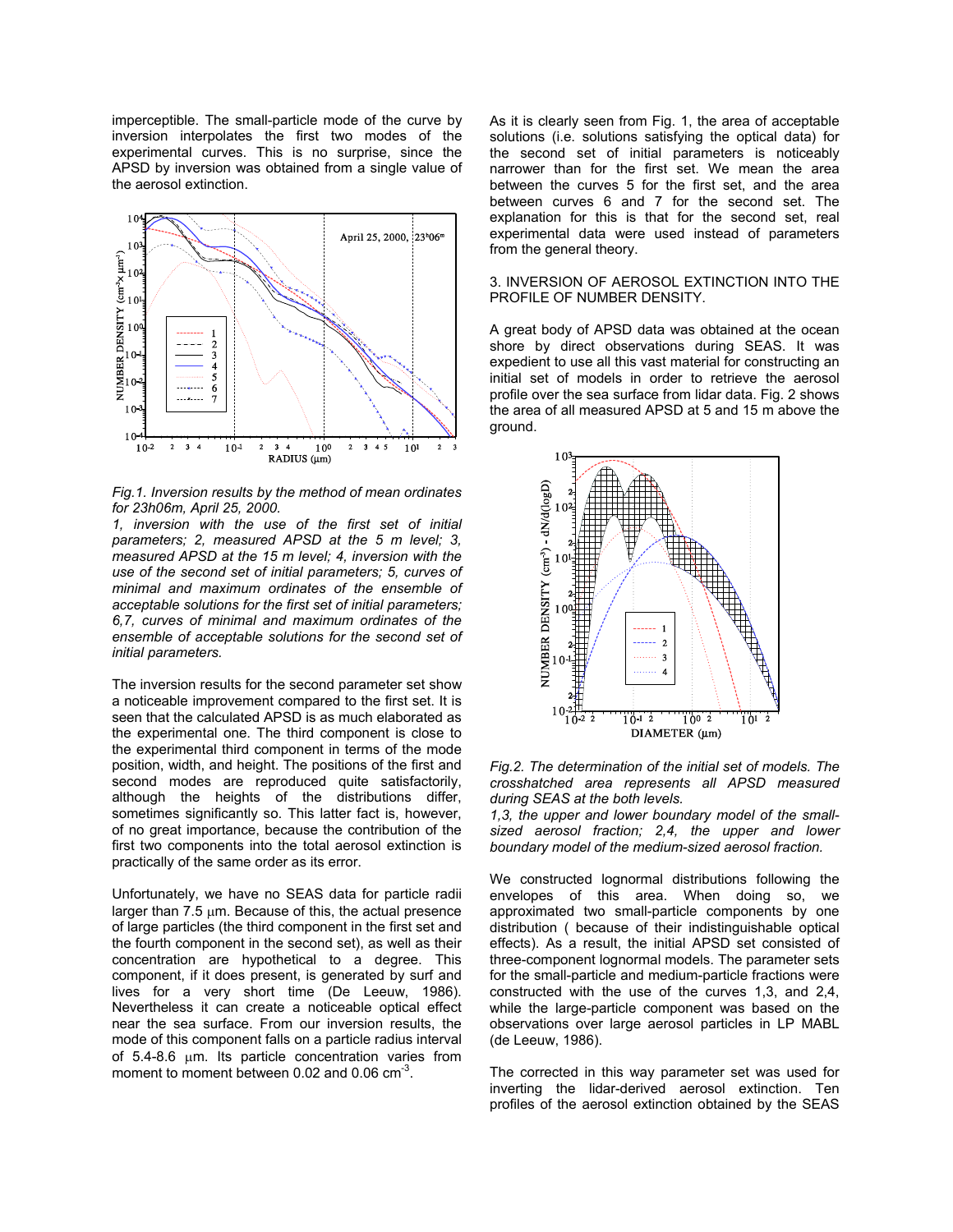imperceptible. The small-particle mode of the curve by inversion interpolates the first two modes of the experimental curves. This is no surprise, since the APSD by inversion was obtained from a single value of the aerosol extinction.



*Fig.1. Inversion results by the method of mean ordinates for 23h06m, April 25, 2000.* 

*1, inversion with the use of the first set of initial parameters; 2, measured APSD at the 5 m level; 3, measured APSD at the 15 m level; 4, inversion with the use of the second set of initial parameters; 5, curves of minimal and maximum ordinates of the ensemble of acceptable solutions for the first set of initial parameters; 6,7, curves of minimal and maximum ordinates of the ensemble of acceptable solutions for the second set of initial parameters.* 

The inversion results for the second parameter set show a noticeable improvement compared to the first set. It is seen that the calculated APSD is as much elaborated as the experimental one. The third component is close to the experimental third component in terms of the mode position, width, and height. The positions of the first and second modes are reproduced quite satisfactorily, although the heights of the distributions differ, sometimes significantly so. This latter fact is, however, of no great importance, because the contribution of the first two components into the total aerosol extinction is practically of the same order as its error.

Unfortunately, we have no SEAS data for particle radii larger than  $7.5 \mu m$ . Because of this, the actual presence of large particles (the third component in the first set and the fourth component in the second set), as well as their concentration are hypothetical to a degree. This component, if it does present, is generated by surf and lives for a very short time (De Leeuw, 1986). Nevertheless it can create a noticeable optical effect near the sea surface. From our inversion results, the mode of this component falls on a particle radius interval of  $5.4-8.6$   $\mu$ m. Its particle concentration varies from moment to moment between 0.02 and 0.06  $cm<sup>-3</sup>$ .

As it is clearly seen from Fig. 1, the area of acceptable solutions (i.e. solutions satisfying the optical data) for the second set of initial parameters is noticeably narrower than for the first set. We mean the area between the curves 5 for the first set, and the area between curves 6 and 7 for the second set. The explanation for this is that for the second set, real experimental data were used instead of parameters from the general theory.

## 3. INVERSION OF AEROSOL EXTINCTION INTO THE PROFILE OF NUMBER DENSITY.

A great body of APSD data was obtained at the ocean shore by direct observations during SEAS. It was expedient to use all this vast material for constructing an initial set of models in order to retrieve the aerosol profile over the sea surface from lidar data. Fig. 2 shows the area of all measured APSD at 5 and 15 m above the ground.



*Fig.2. The determination of the initial set of models. The crosshatched area represents all APSD measured during SEAS at the both levels.* 

*1,3, the upper and lower boundary model of the smallsized aerosol fraction; 2,4, the upper and lower boundary model of the medium-sized aerosol fraction.* 

We constructed lognormal distributions following the envelopes of this area. When doing so, we approximated two small-particle components by one distribution ( because of their indistinguishable optical effects). As a result, the initial APSD set consisted of three-component lognormal models. The parameter sets for the small-particle and medium-particle fractions were constructed with the use of the curves 1,3, and 2,4, while the large-particle component was based on the observations over large aerosol particles in LP MABL (de Leeuw, 1986).

The corrected in this way parameter set was used for inverting the lidar-derived aerosol extinction. Ten profiles of the aerosol extinction obtained by the SEAS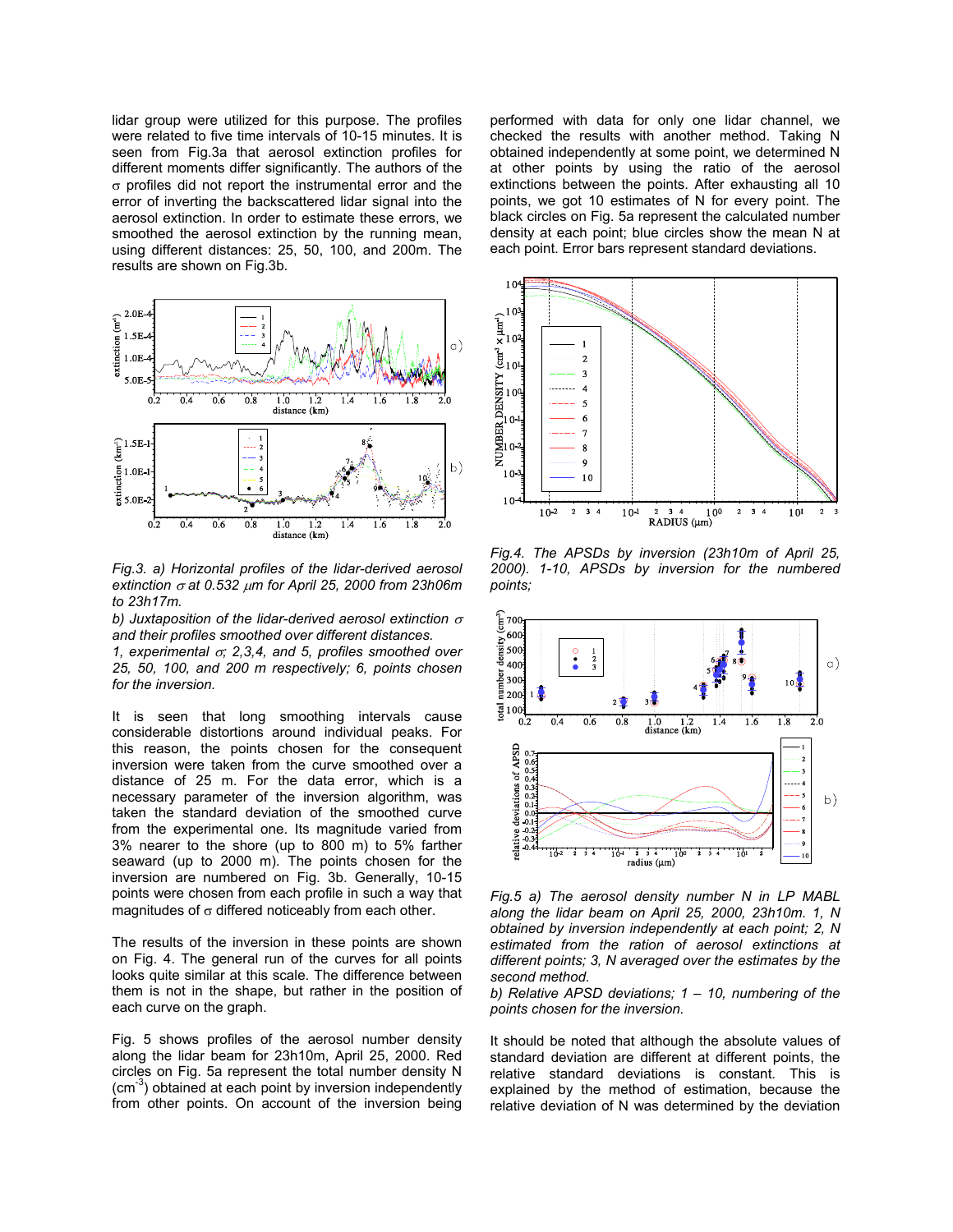lidar group were utilized for this purpose. The profiles were related to five time intervals of 10-15 minutes. It is seen from Fig.3a that aerosol extinction profiles for different moments differ significantly. The authors of the σ profiles did not report the instrumental error and the error of inverting the backscattered lidar signal into the aerosol extinction. In order to estimate these errors, we smoothed the aerosol extinction by the running mean, using different distances: 25, 50, 100, and 200m. The results are shown on Fig.3b.



*Fig.3. a) Horizontal profiles of the lidar-derived aerosol extinction* <sup>σ</sup> *at 0.532* <sup>µ</sup>*m for April 25, 2000 from 23h06m to 23h17m.* 

*b)* Juxtaposition of the lidar-derived aerosol extinction  $\sigma$ *and their profiles smoothed over different distances.* 

*1, experimental* <sup>σ</sup>*; 2,3,4, and 5, profiles smoothed over 25, 50, 100, and 200 m respectively; 6, points chosen for the inversion.* 

It is seen that long smoothing intervals cause considerable distortions around individual peaks. For this reason, the points chosen for the consequent inversion were taken from the curve smoothed over a distance of 25 m. For the data error, which is a necessary parameter of the inversion algorithm, was taken the standard deviation of the smoothed curve from the experimental one. Its magnitude varied from 3% nearer to the shore (up to 800 m) to 5% farther seaward (up to 2000 m). The points chosen for the inversion are numbered on Fig. 3b. Generally, 10-15 points were chosen from each profile in such a way that magnitudes of  $\sigma$  differed noticeably from each other.

The results of the inversion in these points are shown on Fig. 4. The general run of the curves for all points looks quite similar at this scale. The difference between them is not in the shape, but rather in the position of each curve on the graph.

Fig. 5 shows profiles of the aerosol number density along the lidar beam for 23h10m, April 25, 2000. Red circles on Fig. 5a represent the total number density N  $\text{cm}^{-3}$ ) obtained at each point by inversion independently from other points. On account of the inversion being performed with data for only one lidar channel, we checked the results with another method. Taking N obtained independently at some point, we determined N at other points by using the ratio of the aerosol extinctions between the points. After exhausting all 10 points, we got 10 estimates of N for every point. The black circles on Fig. 5a represent the calculated number density at each point; blue circles show the mean N at each point. Error bars represent standard deviations.



*Fig.4. The APSDs by inversion (23h10m of April 25, 2000). 1-10, APSDs by inversion for the numbered points;* 



*Fig.5 a) The aerosol density number N in LP MABL along the lidar beam on April 25, 2000, 23h10m. 1, N obtained by inversion independently at each point; 2, N estimated from the ration of aerosol extinctions at different points; 3, N averaged over the estimates by the second method.* 

*b) Relative APSD deviations; 1 – 10, numbering of the points chosen for the inversion.* 

It should be noted that although the absolute values of standard deviation are different at different points, the relative standard deviations is constant. This is explained by the method of estimation, because the relative deviation of N was determined by the deviation